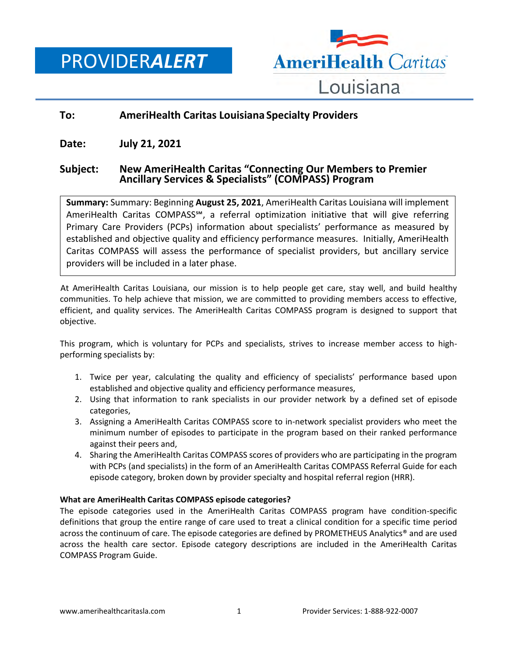PROVIDER*ALERT*



# **To: AmeriHealth Caritas Louisiana Specialty Providers**

**Date: July 21, 2021**

# **Subject: New AmeriHealth Caritas "Connecting Our Members to Premier Ancillary Services & Specialists" (COMPASS) Program**

**Summary:** Summary: Beginning **August 25, 2021**, AmeriHealth Caritas Louisiana will implement AmeriHealth Caritas COMPASS℠, a referral optimization initiative that will give referring Primary Care Providers (PCPs) information about specialists' performance as measured by established and objective quality and efficiency performance measures. Initially, AmeriHealth Caritas COMPASS will assess the performance of specialist providers, but ancillary service providers will be included in a later phase.

At AmeriHealth Caritas Louisiana, our mission is to help people get care, stay well, and build healthy communities. To help achieve that mission, we are committed to providing members access to effective, efficient, and quality services. The AmeriHealth Caritas COMPASS program is designed to support that objective.

This program, which is voluntary for PCPs and specialists, strives to increase member access to highperforming specialists by:

- 1. Twice per year, calculating the quality and efficiency of specialists' performance based upon established and objective quality and efficiency performance measures,
- 2. Using that information to rank specialists in our provider network by a defined set of episode categories,
- 3. Assigning a AmeriHealth Caritas COMPASS score to in-network specialist providers who meet the minimum number of episodes to participate in the program based on their ranked performance against their peers and,
- 4. Sharing the AmeriHealth Caritas COMPASS scores of providers who are participating in the program with PCPs (and specialists) in the form of an AmeriHealth Caritas COMPASS Referral Guide for each episode category, broken down by provider specialty and hospital referral region (HRR).

### **What are AmeriHealth Caritas COMPASS episode categories?**

The episode categories used in the AmeriHealth Caritas COMPASS program have condition-specific definitions that group the entire range of care used to treat a clinical condition for a specific time period across the continuum of care. The episode categories are defined by PROMETHEUS Analytics® and are used across the health care sector. Episode category descriptions are included in the AmeriHealth Caritas COMPASS Program Guide.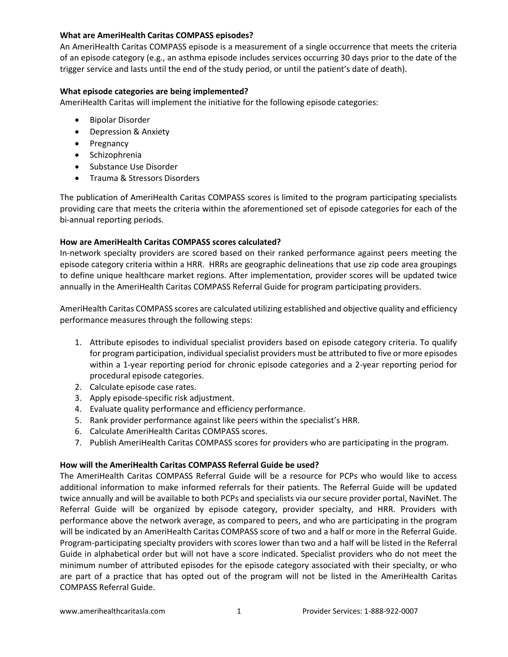## **What are AmeriHealth Caritas COMPASS episodes?**

An AmeriHealth Caritas COMPASS episode is a measurement of a single occurrence that meets the criteria of an episode category (e.g., an asthma episode includes services occurring 30 days prior to the date of the trigger service and lasts until the end of the study period, or until the patient's date of death).

## **What episode categories are being implemented?**

AmeriHealth Caritas will implement the initiative for the following episode categories:

- Bipolar Disorder
- Depression & Anxiety
- Pregnancy
- **•** Schizophrenia
- Substance Use Disorder
- Trauma & Stressors Disorders

The publication of AmeriHealth Caritas COMPASS scores is limited to the program participating specialists providing care that meets the criteria within the aforementioned set of episode categories for each of the bi-annual reporting periods.

## **How are AmeriHealth Caritas COMPASS scores calculated?**

In-network specialty providers are scored based on their ranked performance against peers meeting the episode category criteria within a HRR. HRRs are geographic delineations that use zip code area groupings to define unique healthcare market regions. After implementation, provider scores will be updated twice annually in the AmeriHealth Caritas COMPASS Referral Guide for program participating providers.

AmeriHealth Caritas COMPASS scores are calculated utilizing established and objective quality and efficiency performance measures through the following steps:

- 1. Attribute episodes to individual specialist providers based on episode category criteria. To qualify for program participation, individual specialist providers must be attributed to five or more episodes within a 1-year reporting period for chronic episode categories and a 2-year reporting period for procedural episode categories.
- 2. Calculate episode case rates.
- 3. Apply episode-specific risk adjustment.
- 4. Evaluate quality performance and efficiency performance.
- 5. Rank provider performance against like peers within the specialist's HRR.
- 6. Calculate AmeriHealth Caritas COMPASS scores.
- 7. Publish AmeriHealth Caritas COMPASS scores for providers who are participating in the program.

## **How will the AmeriHealth Caritas COMPASS Referral Guide be used?**

The AmeriHealth Caritas COMPASS Referral Guide will be a resource for PCPs who would like to access additional information to make informed referrals for their patients. The Referral Guide will be updated twice annually and will be available to both PCPs and specialists via our secure provider portal, NaviNet. The Referral Guide will be organized by episode category, provider specialty, and HRR. Providers with performance above the network average, as compared to peers, and who are participating in the program will be indicated by an AmeriHealth Caritas COMPASS score of two and a half or more in the Referral Guide. Program-participating specialty providers with scores lower than two and a half will be listed in the Referral Guide in alphabetical order but will not have a score indicated. Specialist providers who do not meet the minimum number of attributed episodes for the episode category associated with their specialty, or who are part of a practice that has opted out of the program will not be listed in the AmeriHealth Caritas COMPASS Referral Guide.